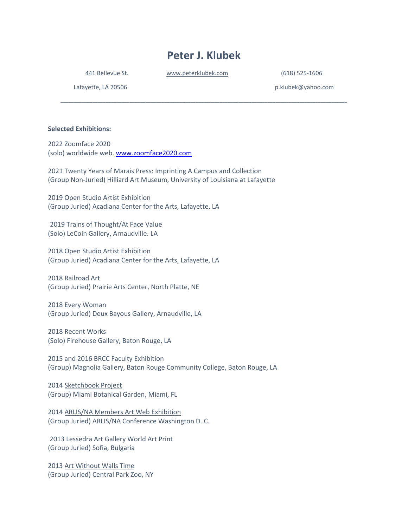# **Peter J. Klubek**

**\_\_\_\_\_\_\_\_\_\_\_\_\_\_\_\_\_\_\_\_\_\_\_\_\_\_\_\_\_\_\_\_\_\_\_\_\_\_\_\_\_\_\_\_\_\_\_\_\_\_\_\_\_\_\_\_\_\_\_\_\_\_\_\_\_\_\_\_\_\_\_\_\_\_\_\_\_\_\_\_\_\_\_\_\_\_\_\_\_\_\_\_\_\_\_\_\_\_\_\_\_\_\_\_\_\_\_\_**

441 Bellevue St. [www.peterklubek.com](http://www.peterklubek.com/) (618) 525-1606

Lafayette, LA 70506 **p.klubek@yahoo.com** 

**Selected Exhibitions:** 

2022 Zoomface 2020 (solo) worldwide web. [www.zoomface2020.com](http://www.zoomface2020.com/)

2021 Twenty Years of Marais Press: Imprinting A Campus and Collection (Group Non-Juried) Hilliard Art Museum, University of Louisiana at Lafayette

2019 Open Studio Artist Exhibition (Group Juried) Acadiana Center for the Arts, Lafayette, LA

2019 Trains of Thought/At Face Value (Solo) LeCoin Gallery, Arnaudville. LA

2018 Open Studio Artist Exhibition (Group Juried) Acadiana Center for the Arts, Lafayette, LA

2018 Railroad Art (Group Juried) Prairie Arts Center, North Platte, NE

2018 Every Woman (Group Juried) Deux Bayous Gallery, Arnaudville, LA

2018 Recent Works (Solo) Firehouse Gallery, Baton Rouge, LA

2015 and 2016 BRCC Faculty Exhibition (Group) Magnolia Gallery, Baton Rouge Community College, Baton Rouge, LA

2014 Sketchbook Project (Group) Miami Botanical Garden, Miami, FL

2014 ARLIS/NA Members Art Web Exhibition (Group Juried) ARLIS/NA Conference Washington D. C.

2013 Lessedra Art Gallery World Art Print (Group Juried) Sofia, Bulgaria

2013 Art Without Walls Time (Group Juried) Central Park Zoo, NY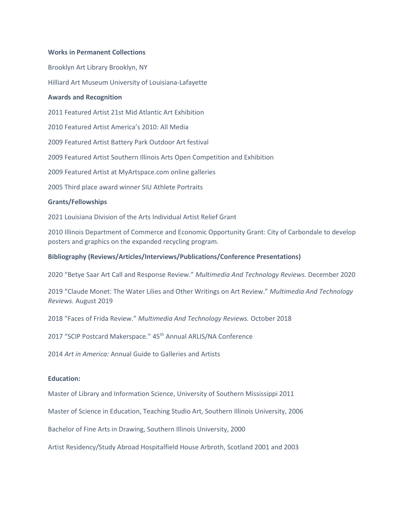## **Works in Permanent Collections**

Brooklyn Art Library Brooklyn, NY Hilliard Art Museum University of Louisiana-Lafayette

#### **Awards and Recognition**

2011 Featured Artist 21st Mid Atlantic Art Exhibition

2010 Featured Artist America's 2010: All Media

2009 Featured Artist Battery Park Outdoor Art festival

2009 Featured Artist Southern Illinois Arts Open Competition and Exhibition

2009 Featured Artist at MyArtspace.com online galleries

2005 Third place award winner SIU Athlete Portraits

#### **Grants/Fellowships**

2021 Louisiana Division of the Arts Individual Artist Relief Grant

2010 Illinois Department of Commerce and Economic Opportunity Grant: City of Carbondale to develop posters and graphics on the expanded recycling program.

## **Bibliography (Reviews/Articles/Interviews/Publications/Conference Presentations)**

2020 "Betye Saar Art Call and Response Review." *Multimedia And Technology Reviews.* December 2020

2019 "Claude Monet: The Water Lilies and Other Writings on Art Review." *Multimedia And Technology Reviews.* August 2019

2018 "Faces of Frida Review." *Multimedia And Technology Reviews.* October 2018

2017 "SCIP Postcard Makerspace." 45<sup>th</sup> Annual ARLIS/NA Conference

2014 *Art in America:* Annual Guide to Galleries and Artists

# **Education:**

Master of Library and Information Science, University of Southern Mississippi 2011

Master of Science in Education, Teaching Studio Art, Southern Illinois University, 2006

Bachelor of Fine Arts in Drawing, Southern Illinois University, 2000

Artist Residency/Study Abroad Hospitalfield House Arbroth, Scotland 2001 and 2003